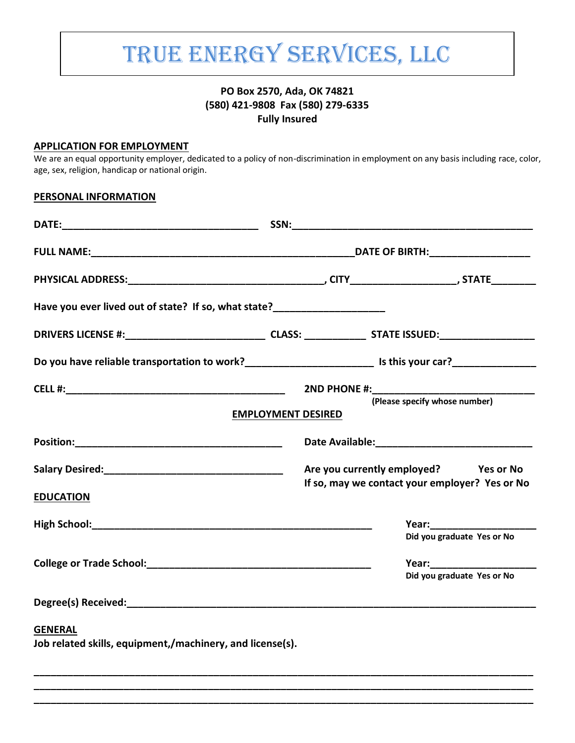# TRUE ENERGY SERVICES, LLC

## **PO Box 2570, Ada, OK 74821 (580) 421-9808 Fax (580) 279-6335 Fully Insured**

#### **APPLICATION FOR EMPLOYMENT**

We are an equal opportunity employer, dedicated to a policy of non-discrimination in employment on any basis including race, color, age, sex, religion, handicap or national origin.

#### **PERSONAL INFORMATION**

| Have you ever lived out of state? If so, what state?______________________                                    |                           |                                                                                         |  |
|---------------------------------------------------------------------------------------------------------------|---------------------------|-----------------------------------------------------------------------------------------|--|
|                                                                                                               |                           |                                                                                         |  |
| Do you have reliable transportation to work?_______________________________ Is this your car?________________ |                           |                                                                                         |  |
|                                                                                                               | <b>EMPLOYMENT DESIRED</b> | 2ND PHONE #:_________________<br>(Please specify whose number)                          |  |
|                                                                                                               |                           |                                                                                         |  |
| <b>EDUCATION</b>                                                                                              |                           | Are you currently employed? Yes or No<br>If so, may we contact your employer? Yes or No |  |
|                                                                                                               |                           | Did you graduate Yes or No                                                              |  |
|                                                                                                               |                           | Year: _______________________<br>Did you graduate Yes or No                             |  |
|                                                                                                               |                           |                                                                                         |  |
| <b>GENERAL</b><br>Job related skills, equipment,/machinery, and license(s).                                   |                           |                                                                                         |  |

**\_\_\_\_\_\_\_\_\_\_\_\_\_\_\_\_\_\_\_\_\_\_\_\_\_\_\_\_\_\_\_\_\_\_\_\_\_\_\_\_\_\_\_\_\_\_\_\_\_\_\_\_\_\_\_\_\_\_\_\_\_\_\_\_\_\_\_\_\_\_\_\_\_\_\_\_\_\_\_\_\_\_\_\_\_\_\_\_\_ \_\_\_\_\_\_\_\_\_\_\_\_\_\_\_\_\_\_\_\_\_\_\_\_\_\_\_\_\_\_\_\_\_\_\_\_\_\_\_\_\_\_\_\_\_\_\_\_\_\_\_\_\_\_\_\_\_\_\_\_\_\_\_\_\_\_\_\_\_\_\_\_\_\_\_\_\_\_\_\_\_\_\_\_\_\_\_\_\_ \_\_\_\_\_\_\_\_\_\_\_\_\_\_\_\_\_\_\_\_\_\_\_\_\_\_\_\_\_\_\_\_\_\_\_\_\_\_\_\_\_\_\_\_\_\_\_\_\_\_\_\_\_\_\_\_\_\_\_\_\_\_\_\_\_\_\_\_\_\_\_\_\_\_\_\_\_\_\_\_\_\_\_\_\_\_\_\_\_**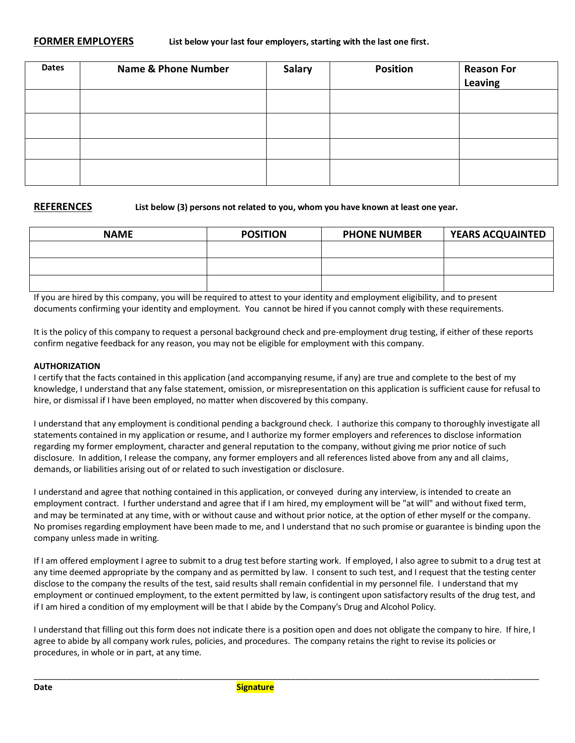| <b>Dates</b> | <b>Name &amp; Phone Number</b> | <b>Salary</b> | <b>Position</b> | <b>Reason For</b><br>Leaving |
|--------------|--------------------------------|---------------|-----------------|------------------------------|
|              |                                |               |                 |                              |
|              |                                |               |                 |                              |
|              |                                |               |                 |                              |
|              |                                |               |                 |                              |

**REFERENCES List below (3) persons not related to you, whom you have known at least one year.** 

| <b>NAME</b> | <b>POSITION</b> | <b>PHONE NUMBER</b> | <b>YEARS ACQUAINTED</b> |
|-------------|-----------------|---------------------|-------------------------|
|             |                 |                     |                         |
|             |                 |                     |                         |
|             |                 |                     |                         |

If you are hired by this company, you will be required to attest to your identity and employment eligibility, and to present documents confirming your identity and employment. You cannot be hired if you cannot comply with these requirements.

It is the policy of this company to request a personal background check and pre-employment drug testing, if either of these reports confirm negative feedback for any reason, you may not be eligible for employment with this company.

#### **AUTHORIZATION**

I certify that the facts contained in this application (and accompanying resume, if any) are true and complete to the best of my knowledge, I understand that any false statement, omission, or misrepresentation on this application is sufficient cause for refusal to hire, or dismissal if I have been employed, no matter when discovered by this company.

I understand that any employment is conditional pending a background check. I authorize this company to thoroughly investigate all statements contained in my application or resume, and I authorize my former employers and references to disclose information regarding my former employment, character and general reputation to the company, without giving me prior notice of such disclosure. In addition, I release the company, any former employers and all references listed above from any and all claims, demands, or liabilities arising out of or related to such investigation or disclosure.

I understand and agree that nothing contained in this application, or conveyed during any interview, is intended to create an employment contract. I further understand and agree that if I am hired, my employment will be "at will" and without fixed term, and may be terminated at any time, with or without cause and without prior notice, at the option of ether myself or the company. No promises regarding employment have been made to me, and I understand that no such promise or guarantee is binding upon the company unless made in writing.

If I am offered employment I agree to submit to a drug test before starting work. If employed, I also agree to submit to a drug test at any time deemed appropriate by the company and as permitted by law. I consent to such test, and I request that the testing center disclose to the company the results of the test, said results shall remain confidential in my personnel file. I understand that my employment or continued employment, to the extent permitted by law, is contingent upon satisfactory results of the drug test, and if I am hired a condition of my employment will be that I abide by the Company's Drug and Alcohol Policy.

I understand that filling out this form does not indicate there is a position open and does not obligate the company to hire. If hire, I agree to abide by all company work rules, policies, and procedures. The company retains the right to revise its policies or procedures, in whole or in part, at any time.

\_\_\_\_\_\_\_\_\_\_\_\_\_\_\_\_\_\_\_\_\_\_\_\_\_\_\_\_\_\_\_\_\_\_\_\_\_\_\_\_\_\_\_\_\_\_\_\_\_\_\_\_\_\_\_\_\_\_\_\_\_\_\_\_\_\_\_\_\_\_\_\_\_\_\_\_\_\_\_\_\_\_\_\_\_\_\_\_\_\_\_\_\_\_\_\_\_\_\_\_\_\_\_\_\_\_\_\_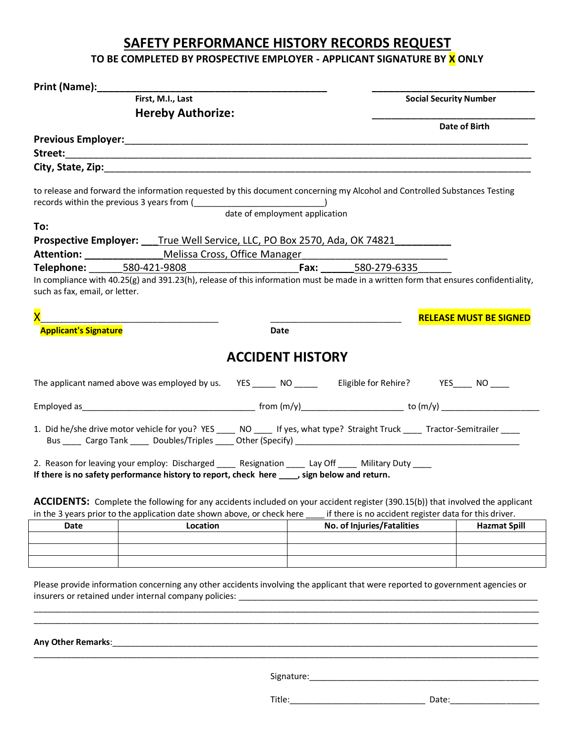# **SAFETY PERFORMANCE HISTORY RECORDS REQUEST**

# TO BE COMPLETED BY PROSPECTIVE EMPLOYER - APPLICANT SIGNATURE BY X ONLY

|                                                                                                                                                                                                                                        | First, M.I., Last        |                                |                                                        | <b>Social Security Number</b> |                               |
|----------------------------------------------------------------------------------------------------------------------------------------------------------------------------------------------------------------------------------------|--------------------------|--------------------------------|--------------------------------------------------------|-------------------------------|-------------------------------|
|                                                                                                                                                                                                                                        | <b>Hereby Authorize:</b> |                                |                                                        |                               |                               |
|                                                                                                                                                                                                                                        |                          |                                |                                                        |                               | Date of Birth                 |
|                                                                                                                                                                                                                                        |                          |                                |                                                        |                               |                               |
|                                                                                                                                                                                                                                        |                          |                                |                                                        |                               |                               |
|                                                                                                                                                                                                                                        |                          |                                |                                                        |                               |                               |
| to release and forward the information requested by this document concerning my Alcohol and Controlled Substances Testing                                                                                                              |                          |                                |                                                        |                               |                               |
|                                                                                                                                                                                                                                        |                          | date of employment application |                                                        |                               |                               |
| To:                                                                                                                                                                                                                                    |                          |                                |                                                        |                               |                               |
| Prospective Employer: ___True Well Service, LLC, PO Box 2570, Ada, OK 74821_______                                                                                                                                                     |                          |                                |                                                        |                               |                               |
| <b>Attention:</b> _________________ Melissa Cross, Office Manager                                                                                                                                                                      |                          |                                |                                                        |                               |                               |
|                                                                                                                                                                                                                                        |                          |                                |                                                        |                               |                               |
| In compliance with 40.25(g) and 391.23(h), release of this information must be made in a written form that ensures confidentiality,<br>such as fax, email, or letter.                                                                  |                          |                                |                                                        |                               |                               |
| $\overline{\mathsf{x}}$                                                                                                                                                                                                                |                          |                                |                                                        |                               | <b>RELEASE MUST BE SIGNED</b> |
| <b>Applicant's Signature</b>                                                                                                                                                                                                           |                          | Date                           |                                                        |                               |                               |
|                                                                                                                                                                                                                                        |                          | <b>ACCIDENT HISTORY</b>        |                                                        |                               |                               |
| The applicant named above was employed by us. YES _______ NO _______ Eligible for Rehire? YES _____ NO _____                                                                                                                           |                          |                                |                                                        |                               |                               |
|                                                                                                                                                                                                                                        |                          |                                |                                                        |                               |                               |
| 1. Did he/she drive motor vehicle for you? YES _____ NO _____ If yes, what type? Straight Truck _____ Tractor-Semitrailer ____<br>Bus _____ Cargo Tank _____ Doubles/Triples _____ Other (Specify) ___________________________________ |                          |                                |                                                        |                               |                               |
| 2. Reason for leaving your employ: Discharged _____ Resignation ____ Lay Off ____ Military Duty ____<br>If there is no safety performance history to report, check here _____, sign below and return.                                  |                          |                                |                                                        |                               |                               |
| ACCIDENTS: Complete the following for any accidents included on your accident register (390.15(b)) that involved the applicant<br>in the 3 years prior to the application date shown above, or check here                              |                          |                                | if there is no accident register data for this driver. |                               |                               |
| <b>Date</b>                                                                                                                                                                                                                            | Location                 |                                | No. of Injuries/Fatalities                             |                               | <b>Hazmat Spill</b>           |
|                                                                                                                                                                                                                                        |                          |                                |                                                        |                               |                               |
|                                                                                                                                                                                                                                        |                          |                                |                                                        |                               |                               |
| Please provide information concerning any other accidents involving the applicant that were reported to government agencies or                                                                                                         |                          |                                |                                                        |                               |                               |
| Any Other Remarks:                                                                                                                                                                                                                     |                          |                                |                                                        |                               |                               |

Signature:\_\_\_\_\_\_\_\_\_\_\_\_\_\_\_\_\_\_\_\_\_\_\_\_\_\_\_\_\_\_\_\_\_\_\_\_\_\_\_\_\_\_\_\_\_\_\_\_\_

\_\_\_\_\_\_\_\_\_\_\_\_\_\_\_\_\_\_\_\_\_\_\_\_\_\_\_\_\_\_\_\_\_\_\_\_\_\_\_\_\_\_\_\_\_\_\_\_\_\_\_\_\_\_\_\_\_\_\_\_\_\_\_\_\_\_\_\_\_\_\_\_\_\_\_\_\_\_\_\_\_\_\_\_\_\_\_\_\_\_\_\_\_\_\_\_\_\_\_\_\_\_\_\_\_\_\_\_

Title:\_\_\_\_\_\_\_\_\_\_\_\_\_\_\_\_\_\_\_\_\_\_\_\_\_\_\_\_\_ Date:\_\_\_\_\_\_\_\_\_\_\_\_\_\_\_\_\_\_\_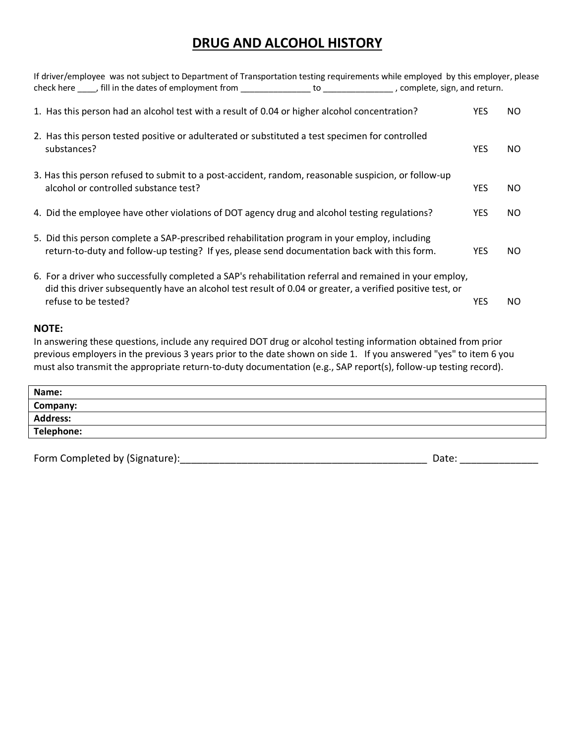# **DRUG AND ALCOHOL HISTORY**

| If driver/employee was not subject to Department of Transportation testing requirements while employed by this employer, please                                                                                                              |            |           |
|----------------------------------------------------------------------------------------------------------------------------------------------------------------------------------------------------------------------------------------------|------------|-----------|
| 1. Has this person had an alcohol test with a result of 0.04 or higher alcohol concentration?                                                                                                                                                | <b>YES</b> | NO.       |
| 2. Has this person tested positive or adulterated or substituted a test specimen for controlled<br>substances?                                                                                                                               | <b>YES</b> | NO.       |
| 3. Has this person refused to submit to a post-accident, random, reasonable suspicion, or follow-up<br>alcohol or controlled substance test?                                                                                                 | <b>YES</b> | NO.       |
| 4. Did the employee have other violations of DOT agency drug and alcohol testing regulations?                                                                                                                                                | <b>YES</b> | NO.       |
| 5. Did this person complete a SAP-prescribed rehabilitation program in your employ, including<br>return-to-duty and follow-up testing? If yes, please send documentation back with this form.                                                | <b>YES</b> | NO.       |
| 6. For a driver who successfully completed a SAP's rehabilitation referral and remained in your employ,<br>did this driver subsequently have an alcohol test result of 0.04 or greater, a verified positive test, or<br>refuse to be tested? | <b>YES</b> | <b>NO</b> |

#### **NOTE:**

In answering these questions, include any required DOT drug or alcohol testing information obtained from prior previous employers in the previous 3 years prior to the date shown on side 1. If you answered "yes" to item 6 you must also transmit the appropriate return-to-duty documentation (e.g., SAP report(s), follow-up testing record).

| Name:           |  |
|-----------------|--|
| Company:        |  |
| <b>Address:</b> |  |
| Telephone:      |  |
|                 |  |

Form Completed by (Signature):\_\_\_\_\_\_\_\_\_\_\_\_\_\_\_\_\_\_\_\_\_\_\_\_\_\_\_\_\_\_\_\_\_\_\_\_\_\_\_\_\_\_\_\_ Date: \_\_\_\_\_\_\_\_\_\_\_\_\_\_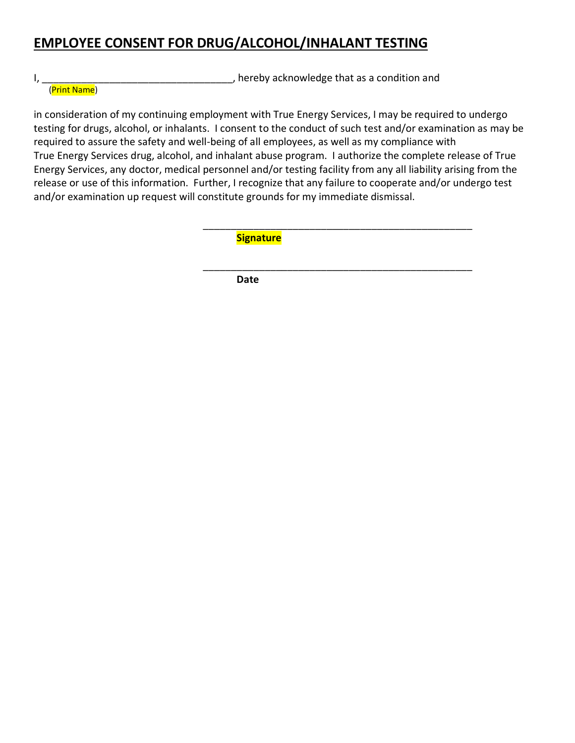# **EMPLOYEE CONSENT FOR DRUG/ALCOHOL/INHALANT TESTING**

I, \_\_\_\_\_\_\_\_\_\_\_\_\_\_\_\_\_\_\_\_\_\_\_\_\_\_\_\_\_\_\_\_\_\_, hereby acknowledge that as a condition and

(Print Name)

in consideration of my continuing employment with True Energy Services, I may be required to undergo testing for drugs, alcohol, or inhalants. I consent to the conduct of such test and/or examination as may be required to assure the safety and well-being of all employees, as well as my compliance with True Energy Services drug, alcohol, and inhalant abuse program. I authorize the complete release of True Energy Services, any doctor, medical personnel and/or testing facility from any all liability arising from the release or use of this information. Further, I recognize that any failure to cooperate and/or undergo test and/or examination up request will constitute grounds for my immediate dismissal.

 $\overline{\phantom{a}}$  ,  $\overline{\phantom{a}}$  ,  $\overline{\phantom{a}}$  ,  $\overline{\phantom{a}}$  ,  $\overline{\phantom{a}}$  ,  $\overline{\phantom{a}}$  ,  $\overline{\phantom{a}}$  ,  $\overline{\phantom{a}}$  ,  $\overline{\phantom{a}}$  ,  $\overline{\phantom{a}}$  ,  $\overline{\phantom{a}}$  ,  $\overline{\phantom{a}}$  ,  $\overline{\phantom{a}}$  ,  $\overline{\phantom{a}}$  ,  $\overline{\phantom{a}}$  ,  $\overline{\phantom{a}}$ **Signature** 

\_\_\_\_\_\_\_\_\_\_\_\_\_\_\_\_\_\_\_\_\_\_\_\_\_\_\_\_\_\_\_\_\_\_\_\_\_\_\_\_\_\_\_\_\_\_\_\_ *Date* Date **Date**